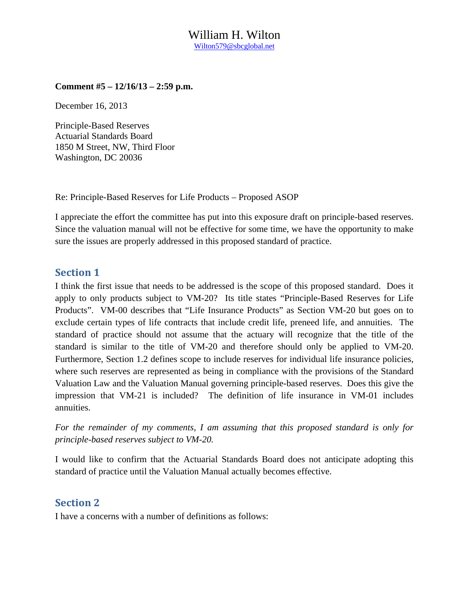### William H. Wilton Wilton579@sbcglobal.net

#### **Comment #5 – 12/16/13 – 2:59 p.m.**

December 16, 2013

Principle-Based Reserves Actuarial Standards Board 1850 M Street, NW, Third Floor Washington, DC 20036

Re: Principle-Based Reserves for Life Products – Proposed ASOP

I appreciate the effort the committee has put into this exposure draft on principle-based reserves. Since the valuation manual will not be effective for some time, we have the opportunity to make sure the issues are properly addressed in this proposed standard of practice.

### **Section 1**

I think the first issue that needs to be addressed is the scope of this proposed standard. Does it apply to only products subject to VM-20? Its title states "Principle-Based Reserves for Life Products". VM-00 describes that "Life Insurance Products" as Section VM-20 but goes on to exclude certain types of life contracts that include credit life, preneed life, and annuities. The standard of practice should not assume that the actuary will recognize that the title of the standard is similar to the title of VM-20 and therefore should only be applied to VM-20. Furthermore, Section 1.2 defines scope to include reserves for individual life insurance policies, where such reserves are represented as being in compliance with the provisions of the Standard Valuation Law and the Valuation Manual governing principle-based reserves. Does this give the impression that VM-21 is included? The definition of life insurance in VM-01 includes annuities.

*For the remainder of my comments, I am assuming that this proposed standard is only for principle-based reserves subject to VM-20.* 

I would like to confirm that the Actuarial Standards Board does not anticipate adopting this standard of practice until the Valuation Manual actually becomes effective.

### **Section 2**

I have a concerns with a number of definitions as follows: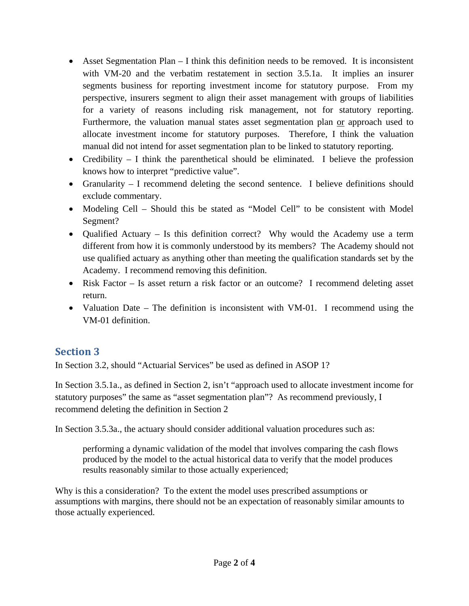- $\bullet$  Asset Segmentation Plan I think this definition needs to be removed. It is inconsistent with VM-20 and the verbatim restatement in section 3.5.1a. It implies an insurer segments business for reporting investment income for statutory purpose. From my perspective, insurers segment to align their asset management with groups of liabilities for a variety of reasons including risk management, not for statutory reporting. Furthermore, the valuation manual states asset segmentation plan or approach used to allocate investment income for statutory purposes. Therefore, I think the valuation manual did not intend for asset segmentation plan to be linked to statutory reporting.
- Credibility  $I$  think the parenthetical should be eliminated. I believe the profession knows how to interpret "predictive value".
- Granularity I recommend deleting the second sentence. I believe definitions should exclude commentary.
- Modeling Cell Should this be stated as "Model Cell" to be consistent with Model Segment?
- Qualified Actuary Is this definition correct? Why would the Academy use a term different from how it is commonly understood by its members? The Academy should not use qualified actuary as anything other than meeting the qualification standards set by the Academy. I recommend removing this definition.
- Risk Factor Is asset return a risk factor or an outcome? I recommend deleting asset return.
- Valuation Date The definition is inconsistent with VM-01. I recommend using the VM-01 definition.

## **Section 3**

In Section 3.2, should "Actuarial Services" be used as defined in ASOP 1?

In Section 3.5.1a., as defined in Section 2, isn't "approach used to allocate investment income for statutory purposes" the same as "asset segmentation plan"? As recommend previously, I recommend deleting the definition in Section 2

In Section 3.5.3a., the actuary should consider additional valuation procedures such as:

performing a dynamic validation of the model that involves comparing the cash flows produced by the model to the actual historical data to verify that the model produces results reasonably similar to those actually experienced;

Why is this a consideration? To the extent the model uses prescribed assumptions or assumptions with margins, there should not be an expectation of reasonably similar amounts to those actually experienced.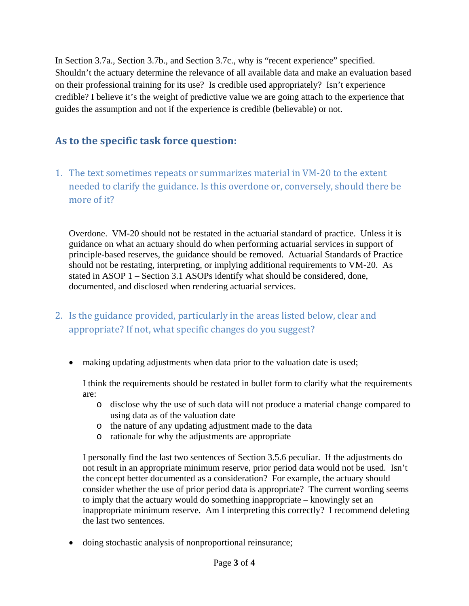In Section 3.7a., Section 3.7b., and Section 3.7c., why is "recent experience" specified. Shouldn't the actuary determine the relevance of all available data and make an evaluation based on their professional training for its use? Is credible used appropriately? Isn't experience credible? I believe it's the weight of predictive value we are going attach to the experience that guides the assumption and not if the experience is credible (believable) or not.

# **As to the specific task force question:**

1. The text sometimes repeats or summarizes material in VM-20 to the extent needed to clarify the guidance. Is this overdone or, conversely, should there be more of it?

Overdone. VM-20 should not be restated in the actuarial standard of practice. Unless it is guidance on what an actuary should do when performing actuarial services in support of principle-based reserves, the guidance should be removed. Actuarial Standards of Practice should not be restating, interpreting, or implying additional requirements to VM-20. As stated in ASOP 1 – Section 3.1 ASOPs identify what should be considered, done, documented, and disclosed when rendering actuarial services.

- 2. Is the guidance provided, particularly in the areas listed below, clear and appropriate? If not, what specific changes do you suggest?
	- making updating adjustments when data prior to the valuation date is used;

I think the requirements should be restated in bullet form to clarify what the requirements are:

- o disclose why the use of such data will not produce a material change compared to using data as of the valuation date
- o the nature of any updating adjustment made to the data
- o rationale for why the adjustments are appropriate

I personally find the last two sentences of Section 3.5.6 peculiar. If the adjustments do not result in an appropriate minimum reserve, prior period data would not be used. Isn't the concept better documented as a consideration? For example, the actuary should consider whether the use of prior period data is appropriate? The current wording seems to imply that the actuary would do something inappropriate – knowingly set an inappropriate minimum reserve. Am I interpreting this correctly? I recommend deleting the last two sentences.

doing stochastic analysis of nonproportional reinsurance;